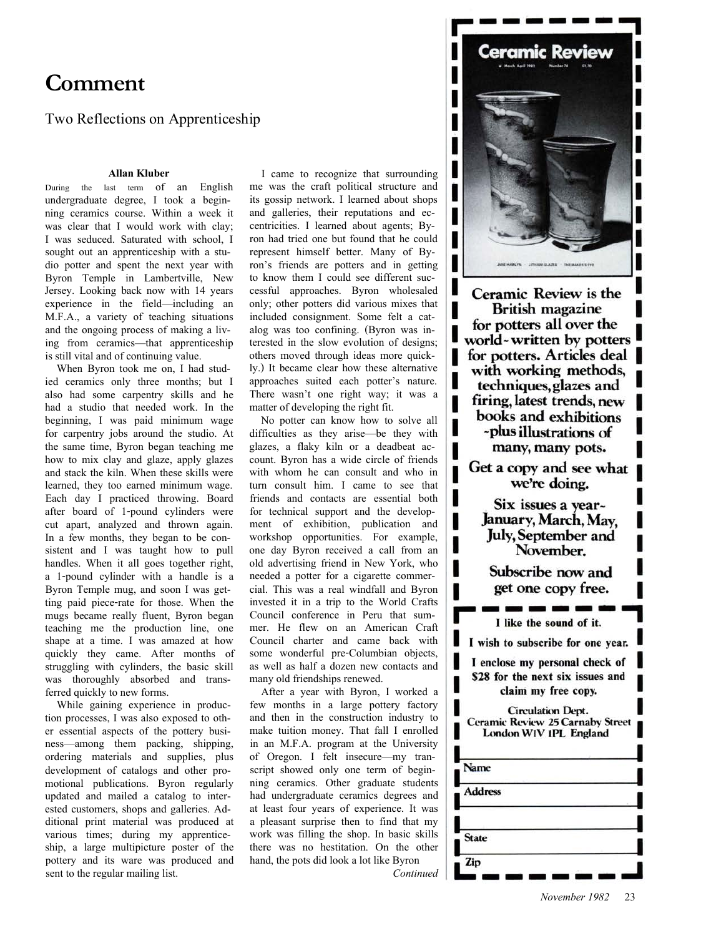# **Comment**

Two Reflections on Apprenticeship

## **Allan Kluber**

During the last term of an English undergraduate degree, I took a beginning ceramics course. Within a week it was clear that I would work with clay; I was seduced. Saturated with school, I sought out an apprenticeship with a studio potter and spent the next year with Byron Temple in Lambertville, New Jersey. Looking back now with 14 years experience in the field—including an M.F.A., a variety of teaching situations and the ongoing process of making a living from ceramics—that apprenticeship is still vital and of continuing value.

When Byron took me on, I had studied ceramics only three months; but I also had some carpentry skills and he had a studio that needed work. In the beginning, I was paid minimum wage for carpentry jobs around the studio. At the same time, Byron began teaching me how to mix clay and glaze, apply glazes and stack the kiln. When these skills were learned, they too earned minimum wage. Each day I practiced throwing. Board after board of 1-pound cylinders were cut apart, analyzed and thrown again. In a few months, they began to be consistent and I was taught how to pull handles. When it all goes together right, a 1-pound cylinder with a handle is a Byron Temple mug, and soon I was getting paid piece-rate for those. When the mugs became really fluent, Byron began teaching me the production line, one shape at a time. I was amazed at how quickly they came. After months of struggling with cylinders, the basic skill was thoroughly absorbed and transferred quickly to new forms.

While gaining experience in production processes, I was also exposed to other essential aspects of the pottery business—among them packing, shipping, ordering materials and supplies, plus development of catalogs and other promotional publications. Byron regularly updated and mailed a catalog to interested customers, shops and galleries. Additional print material was produced at various times; during my apprenticeship, a large multipicture poster of the pottery and its ware was produced and sent to the regular mailing list.

I came to recognize that surrounding me was the craft political structure and its gossip network. I learned about shops and galleries, their reputations and eccentricities. I learned about agents; Byron had tried one but found that he could represent himself better. Many of Byron's friends are potters and in getting to know them I could see different successful approaches. Byron wholesaled only; other potters did various mixes that included consignment. Some felt a catalog was too confining. (Byron was interested in the slow evolution of designs; others moved through ideas more quickly.) It became clear how these alternative approaches suited each potter's nature. There wasn't one right way; it was a matter of developing the right fit.

No potter can know how to solve all difficulties as they arise—be they with glazes, a flaky kiln or a deadbeat account. Byron has a wide circle of friends with whom he can consult and who in turn consult him. I came to see that friends and contacts are essential both for technical support and the development of exhibition, publication and workshop opportunities. For example, one day Byron received a call from an old advertising friend in New York, who needed a potter for a cigarette commercial. This was a real windfall and Byron invested it in a trip to the World Crafts Council conference in Peru that summer. He flew on an American Craft Council charter and came back with some wonderful pre-Columbian objects, as well as half a dozen new contacts and many old friendships renewed.

After a year with Byron, I worked a few months in a large pottery factory and then in the construction industry to make tuition money. That fall I enrolled in an M.F.A. program at the University of Oregon. I felt insecure—my transcript showed only one term of beginning ceramics. Other graduate students had undergraduate ceramics degrees and at least four years of experience. It was a pleasant surprise then to find that my work was filling the shop. In basic skills there was no hestitation. On the other hand, the pots did look a lot like Byron *Continued*



ı

I

ı

I

Ceramic Review is the **British magazine** for potters all over the world-written by potters for potters. Articles deal with working methods, techniques, glazes and firing, latest trends, new books and exhibitions -plus illustrations of many, many pots.

Get a copy and see what we're doing.

Six issues a vear-January, March, May. **July, September and** November.

Subscribe now and get one copy free.

I like the sound of it.

I wish to subscribe for one year.

I enclose my personal check of \$28 for the next six issues and claim my free copy.

**Circulation Dept. Ceramic Review 25 Carnaby Street** London WIV 1PL England

| Name           |  |
|----------------|--|
| <b>Address</b> |  |
| <b>State</b>   |  |
| Zip            |  |